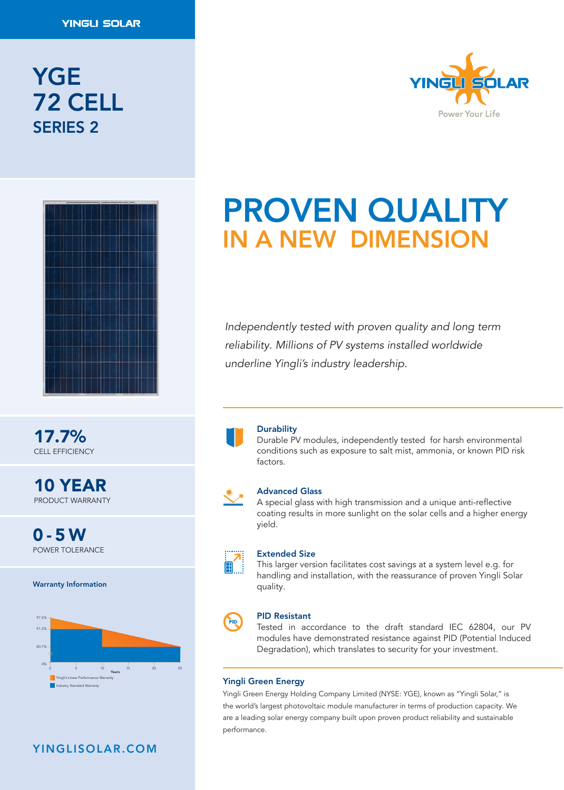# YGE 72 CELL SERIES 2





17.7% CELL EFFICIENCY

10 YEAR PRODUCT WARRANTY

0 - 5 W POWER TOLERANCE

Warranty Information



### YINGLISOLAR.COM

# PROVEN QUALITY IN A NEW DIMENSION

*Independently tested with proven quality and long term reliability. Millions of PV systems installed worldwide underline Yingli's industry leadership.*

## **Durability**

Durable PV modules, independently tested for harsh environmental conditions such as exposure to salt mist, ammonia, or known PID risk factors.

### Advanced Glass

A special glass with high transmission and a unique anti-reflective coating results in more sunlight on the solar cells and a higher energy yield.

| --------- |  |
|-----------|--|
| ۰         |  |
|           |  |
|           |  |
|           |  |
|           |  |
|           |  |
|           |  |

#### Extended Size

This larger version facilitates cost savings at a system level e.g. for handling and installation, with the reassurance of proven Yingli Solar quality.



#### PID Resistant

Tested in accordance to the draft standard IEC 62804, our PV modules have demonstrated resistance against PID (Potential Induced Degradation), which translates to security for your investment.

#### Yingli Green Energy

Yingli Green Energy Holding Company Limited (NYSE: YGE), known as "Yingli Solar," is the world's largest photovoltaic module manufacturer in terms of production capacity. We are a leading solar energy company built upon proven product reliability and sustainable performance.